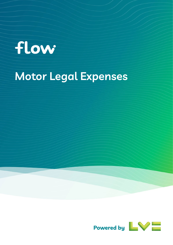# flow

## **Motor Legal Expenses**

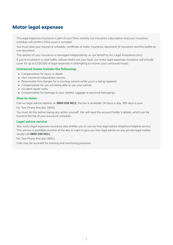## **Motor legal expenses**

This legal expenses insurance is part of your Flow monthly car insurance subscription and your insurance schedule will confirm if this cover is included.

You must read your insurance schedule, certificate of motor insurance, document of insurance and this leaflet as one document.

This section of your insurance is managed independently on our behalf by Arc Legal Assistance (Arc).

If you're involved in a road traffic collision that's not your fault, our motor legal expenses insurance will provide cover for up to £100,000 of legal expenses in attempting to recover your uninsured losses.

#### **Uninsured losses include the following:**

- Compensation for injury or death.
- Your insurance subscription excess.
- Reasonable hire charges for a courtesy vehicle while yours is being repaired.
- Compensation for you not being able to use your vehicle.
- Accident repair costs.
- Compensation for damage to your clothes, luggage or personal belongings.

#### **How to claim**

Call our legal advice helpline on **0800 028 5611**, the line is available 24 hours a day, 365 days a year.

For Text Phone first dial 18001.

You must do this before taking any action yourself. We will need the account holder's details, which can be found at the top of your insurance schedule.

#### **Legal advice service**

Your motor legal expenses insurance also entitles you to use our free legal advice telephone helpline service. This service is available anytime of the day or night to give you free legal advice on any private legal matter, simply call **0800 028 5611**.

For Text Phone first dial 18001.

Calls may be recorded for training and monitoring purposes.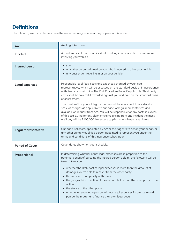## **Definitions**

The following words or phrases have the same meaning wherever they appear in this leaflet.

| Arc                    | Arc Legal Assistance                                                                                                                                                                                                                                                                                                                                                                                                                                                                                                                                                                                                        |
|------------------------|-----------------------------------------------------------------------------------------------------------------------------------------------------------------------------------------------------------------------------------------------------------------------------------------------------------------------------------------------------------------------------------------------------------------------------------------------------------------------------------------------------------------------------------------------------------------------------------------------------------------------------|
| Incident               | A road traffic collision or an incident resulting in a prosecution or summons<br>involving your vehicle.                                                                                                                                                                                                                                                                                                                                                                                                                                                                                                                    |
| <b>Insured person</b>  | $\bullet$ you;<br>• any other person allowed by you who is insured to drive your vehicle;<br>• any passenger travelling in or on your vehicle.                                                                                                                                                                                                                                                                                                                                                                                                                                                                              |
| Legal expenses         | Reasonable legal fees, costs and expenses charged by your legal<br>representative, which will be assessed on the standard basis or in accordance<br>with fixed costs set out in The Civil Procedure Rules if applicable. Third party<br>costs shall be covered if awarded against you and paid on the standard basis<br>of assessment.                                                                                                                                                                                                                                                                                      |
|                        | The most we'll pay for all legal expenses will be equivalent to our standard<br>scale of charges as applicable to our panel of legal representatives and<br>available on request from Arc. You will be responsible for any costs in excess<br>of this scale. And for any claim or claims arising from one incident the most<br>we'll pay will be £100,000. No excess applies to legal expenses claims.                                                                                                                                                                                                                      |
| Legal representative   | Our panel solicitors, appointed by Arc or their agents to act on your behalf, or<br>any other suitably qualified person appointed to represent you under the<br>terms and conditions of this insurance subscription.                                                                                                                                                                                                                                                                                                                                                                                                        |
| <b>Period of Cover</b> | Cover dates shown on your schedule.                                                                                                                                                                                                                                                                                                                                                                                                                                                                                                                                                                                         |
| Proportional           | In determining whether or not legal expenses are in proportion to the<br>potential benefit of pursuing the insured person's claim, the following will be<br>taken into account:<br>• whether the likely cost of legal expenses is more than the amount of<br>damages you're able to recover from the other party;<br>• the value and complexity of the case;<br>• the geographical location of the account holder and the other party to the<br>action;<br>• the stance of the other party;<br>• whether a reasonable person without legal expenses insurance would<br>pursue the matter and finance their own legal costs. |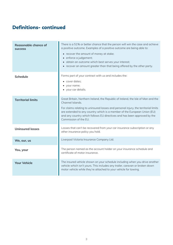## **Definitions- continued**

| <b>Reasonable chance of</b><br><b>SUCCESS</b> | There is a 51% or better chance that the person will win the case and achieve<br>a positive outcome. Examples of a positive outcome are being able to:<br>• recover the amount of money at stake;<br>• enforce a judgement;<br>• obtain an outcome which best serves your interest;<br>• recover an amount greater than that being offered by the other party.                |
|-----------------------------------------------|-------------------------------------------------------------------------------------------------------------------------------------------------------------------------------------------------------------------------------------------------------------------------------------------------------------------------------------------------------------------------------|
| <b>Schedule</b>                               | Forms part of your contract with us and includes the:<br>• cover dates;<br>your name;<br>• your car details.                                                                                                                                                                                                                                                                  |
| <b>Territorial limits</b>                     | Great Britain, Northern Ireland, the Republic of Ireland, the Isle of Man and the<br>Channel Islands.<br>For claims relating to uninsured losses and personal injury, the territorial limits<br>are extended to any country which is a member of the European Union (EU)<br>and any country which follows EU directives and has been approved by the<br>Commission of the EU. |
| <b>Uninsured losses</b>                       | Losses that can't be recovered from your car insurance subscription or any<br>other insurance policy you hold.                                                                                                                                                                                                                                                                |
| We, our, us                                   | Liverpool Victoria Insurance Company Ltd.                                                                                                                                                                                                                                                                                                                                     |
| You, your                                     | The person named as the account holder on your insurance schedule and<br>certificate of motor insurance.                                                                                                                                                                                                                                                                      |
| <b>Your Vehicle</b>                           | The insured vehicle shown on your schedule including when you drive another<br>vehicle which isn't yours. This includes any trailer, caravan or broken down<br>motor vehicle while they're attached to your vehicle for towing.                                                                                                                                               |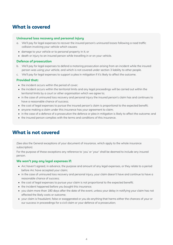## **What is covered**

## **Uninsured loss recovery and personal injury**

- a. We'll pay for legal expenses to recover the insured person's uninsured losses following a road traffic collision involving your vehicle which causes:
	- damage to your vehicle or to personal property in it; or
- death or injury to an insured person while travelling in or on your vehicle.

#### **Defence of prosecution**

- b. We'll pay for legal expenses to defend a motoring prosecution arising from an incident while the insured person was using your vehicle, and which is not covered under section 3 liability to other people.
- c. We'll pay for legal expenses to support a plea in mitigation if it's likely to affect the outcome.

## **Provided that:**

- the incident occurs within the period of cover;
- the incident occurs within the territorial limits and any legal proceedings will be carried out within the territorial limits by a court or other organisation which we agree to;
- in the case of uninsured loss recovery and personal injury the insured person's claim has and continues to have a reasonable chance of success;
- the cost of legal expenses to pursue the insured person's claim is proportional to the expected benefit;
- anyone making a claim under this insurance has your agreement to claim;
- in the case of a defence of a prosecution the defence or plea in mitigation is likely to affect the outcome; and
- the insured person complies with the terms and conditions of this insurance.

## **What is not covered**

(See also the General exceptions of your document of insurance, which apply to the whole insurance subscription)

For the purpose of these exceptions any reference to 'you' or 'your' shall be deemed to include any insured person.

#### **We won't pay any legal expenses if:**

- Arc haven't agreed, in advance, the purpose and amount of any legal expenses, or they relate to a period before Arc have accepted your claim;
- in the case of uninsured loss recovery and personal injury, your claim doesn't have and continue to have a reasonable chance of success;
- the cost of legal expenses to pursue your claim is not proportional to the expected benefit;
- the incident happened before you bought this insurance;
- you claim more than 180 days after the date of the event, unless your delay in notifying your claim has not affected the likely costs or outcome;
- your claim is fraudulent, false or exaggerated or you do anything that harms either the chances of your or our success in proceedings for a civil claim or your defence of a prosecution;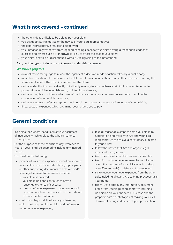## **What is not covered - continued**

- the other side is unlikely to be able to pay your claim;
- you act against Arc's advice or the advice of your legal representative;
- the legal representative refuses to act for you;
- you unreasonably withdraw from legal proceedings despite your claim having a reasonable chance of success and where such a withdrawal is likely to affect the cost of your claim;
- your claim is settled or discontinued without Arc agreeing to this beforehand.

#### **Also, certain types of claim are not covered under this insurance.**

#### **We won't pay for:**

- an application for a judge to review the legality of a decision made or action taken by a public body;
- more than our share of a civil claim or for defence of prosecution if there is any other insurance covering the same event, even if the other insurer refuses the claim;
- claims under this insurance directly or indirectly relating to your deliberate criminal act or omission or to prosecutions which allege dishonesty or intentional violence;
- claims arising from incidents which we refuse to cover under your car insurance or which result in the cancellation of your vehicle insurance;
- claims arising from defective repairs, mechanical breakdown or general maintenance of your vehicle;
- fines, costs or expenses which a criminal court orders you to pay.

## **General conditions**

(See also the General conditions of your document of insurance, which apply to the whole insurance subscription)

For the purpose of these conditions any reference to 'you' or 'your', shall be deemed to include any insured person.

You must do the following:

- provide at your own expense information relevant to your claim such as reports, photographs, plans or other supporting documents to help Arc and/or your legal representative assess whether:
	- your claim is covered;
	- ‒ your claim has and continues to have a reasonable chance of success;
	- the cost of legal expenses to pursue your claim is proportional and continues to be proportional to the expected outcome.
- contact our legal helpline before you take any action that may result in a claim and before you run up any legal expenses;
- take all reasonable steps to settle your claim by negotiation and work with Arc and your legal representative to achieve a satisfactory outcome to your claim;
- follow the advice that Arc and/or your legal representative give you;
- keep the cost of your claim as low as possible;
- keep Arc and your legal representative informed about the progress of your civil claim (including any offers to settle) or defence of prosecution;
- try to recover your legal expenses from the other side, including allowing Arc to bring proceedings in your name;
- allow Arc to obtain any information, document or file from your legal representative including an opinion on your chances of success and the proportionate benefit to you of making your civil claim or of acting in defence of your prosecution.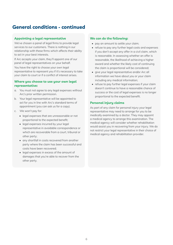## **General conditions - continued**

## **Appointing a legal representative**

We've chosen a panel of legal firms to provide legal services to our customers. There is nothing in our relationship with these firms which affects their ability to act in your best interests.

If Arc accepts your claim, they'll appoint one of our panel of legal representatives on your behalf.

You have the right to choose your own legal representative to represent you if it's necessary to take your claim to court or if a conflict of interest arises.

## **Where you choose to use your own legal representative:**

- a. You must not agree to any legal expenses without Arc's prior written permission.
- b. Your legal representative will be appointed to act for you in line with Arc's standard terms of appointment (you can ask us for a copy).
- c. We won't pay for:
	- legal expenses that are unreasonable or not proportional to the expected benefit;
	- legal expenses incurred by your legal representative in avoidable correspondence or which are recoverable from a court, tribunal or other party;
	- any shortfall in costs recovered from another party where the claim has been successful and costs have been recovered;
	- legal expenses in excess of the amount of damages that you're able to recover from the other party.

## **We can do the following:**

- pay an amount to settle your claim;
- refuse to pay any further legal costs and expenses if you don't accept any offer in a civil claim, which is reasonable. In assessing whether an offer is reasonable, the likelihood of achieving a higher award and whether the likely cost of continuing the claim is proportional will be considered;
- give your legal representative and/or Arc all information we have about you or your claim including any medical information;
- refuse to pay further legal expenses if your claim doesn't continue to have a reasonable chance of success or the cost of legal expenses is no longer proportional to the expected benefit.

## **Personal injury claims**

As part of any claim for personal injury your legal representative may need to arrange for you to be medically examined by a doctor. They may appoint a medical agency to arrange this examination. The medical agency will consider whether rehabilitation would assist you in recovering from your injury. We do not restrict your legal representative in their choice of medical agency and rehabilitation provider.